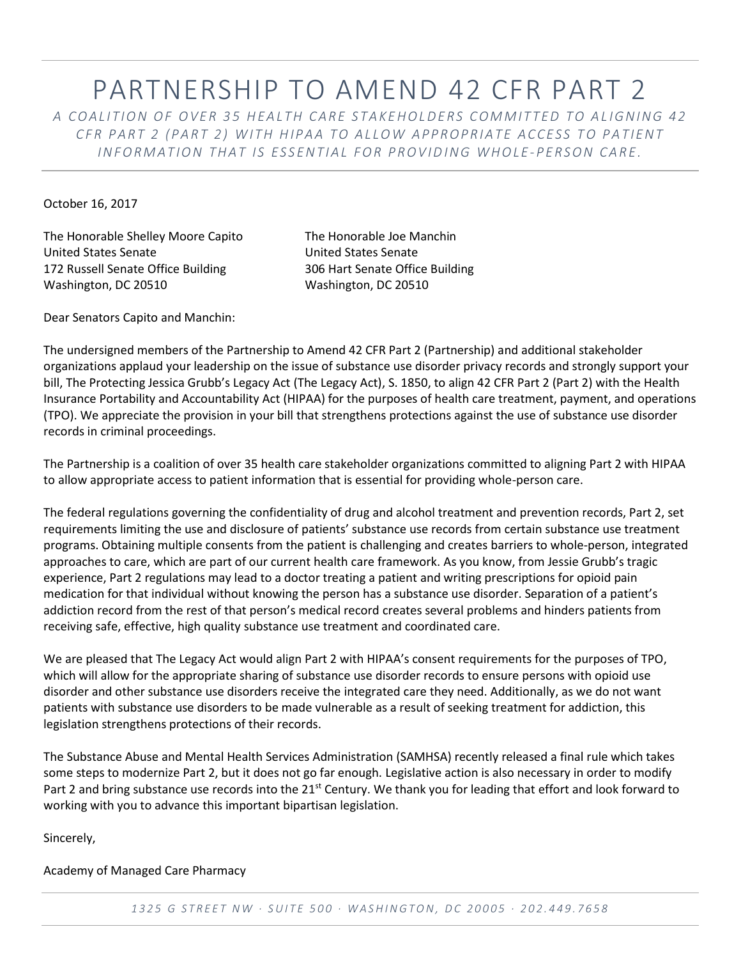## PARTNERSHIP TO AMEND 42 CFR PART 2 *A C O A L I T I O N O F O V E R 3 5 H E A L T H C A R E S T A K E H O LD E R S C O M M I T T E D T O A L I G N I N G 4 2 CFR PART 2 (PART 2) WITH HIPAA TO ALLOW APPROPRIATE ACCESS TO PATIENT I N F O R M A T I O N T H A T I S E S S E N T I A L F O R P R O V I D I N G W H O L E -P E R S O N C A RE .*

October 16, 2017

The Honorable Shelley Moore Capito The Honorable Joe Manchin United States Senate United States Senate 172 Russell Senate Office Building 306 Hart Senate Office Building Washington, DC 20510 Washington, DC 20510

Dear Senators Capito and Manchin:

The undersigned members of the Partnership to Amend 42 CFR Part 2 (Partnership) and additional stakeholder organizations applaud your leadership on the issue of substance use disorder privacy records and strongly support your bill, The Protecting Jessica Grubb's Legacy Act (The Legacy Act), S. 1850, to align 42 CFR Part 2 (Part 2) with the Health Insurance Portability and Accountability Act (HIPAA) for the purposes of health care treatment, payment, and operations (TPO). We appreciate the provision in your bill that strengthens protections against the use of substance use disorder records in criminal proceedings.

The Partnership is a coalition of over 35 health care stakeholder organizations committed to aligning Part 2 with HIPAA to allow appropriate access to patient information that is essential for providing whole-person care.

The federal regulations governing the confidentiality of drug and alcohol treatment and prevention records, Part 2, set requirements limiting the use and disclosure of patients' substance use records from certain substance use treatment programs. Obtaining multiple consents from the patient is challenging and creates barriers to whole-person, integrated approaches to care, which are part of our current health care framework. As you know, from Jessie Grubb's tragic experience, Part 2 regulations may lead to a doctor treating a patient and writing prescriptions for opioid pain medication for that individual without knowing the person has a substance use disorder. Separation of a patient's addiction record from the rest of that person's medical record creates several problems and hinders patients from receiving safe, effective, high quality substance use treatment and coordinated care.

We are pleased that The Legacy Act would align Part 2 with HIPAA's consent requirements for the purposes of TPO, which will allow for the appropriate sharing of substance use disorder records to ensure persons with opioid use disorder and other substance use disorders receive the integrated care they need. Additionally, as we do not want patients with substance use disorders to be made vulnerable as a result of seeking treatment for addiction, this legislation strengthens protections of their records.

The Substance Abuse and Mental Health Services Administration (SAMHSA) recently released a final rule which takes some steps to modernize Part 2, but it does not go far enough. Legislative action is also necessary in order to modify Part 2 and bring substance use records into the  $21^{st}$  Century. We thank you for leading that effort and look forward to working with you to advance this important bipartisan legislation.

Sincerely,

## Academy of Managed Care Pharmacy